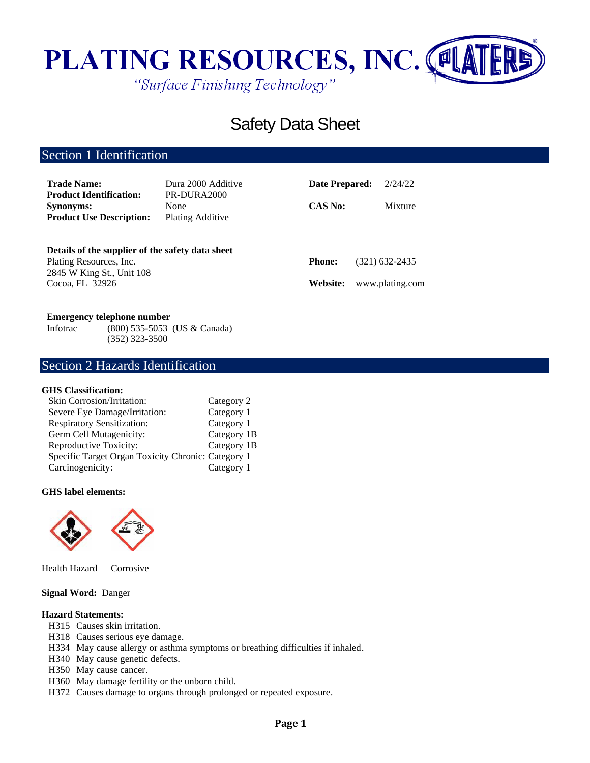

# Safety Data Sheet

# Section 1 Identification

| <b>Trade Name:</b><br><b>Product Identification:</b>                                                     | Dura 2000 Additive<br>PR-DURA2000 | Date Prepared: | 2/24/22         |
|----------------------------------------------------------------------------------------------------------|-----------------------------------|----------------|-----------------|
| <b>Synonyms:</b><br><b>Product Use Description:</b>                                                      | None<br><b>Plating Additive</b>   | <b>CAS No:</b> | Mixture         |
| Details of the supplier of the safety data sheet<br>Plating Resources, Inc.<br>2845 W King St., Unit 108 |                                   | <b>Phone:</b>  | (321) 632-2435  |
| Cocoa, FL 32926                                                                                          |                                   | Website:       | www.plating.com |

#### **Emergency telephone number**

Infotrac (800) 535-5053 (US & Canada) (352) 323-3500

## Section 2 Hazards Identification

#### **GHS Classification:**

| Skin Corrosion/Irritation:                         | Category 2  |
|----------------------------------------------------|-------------|
| Severe Eye Damage/Irritation:                      | Category 1  |
| <b>Respiratory Sensitization:</b>                  | Category 1  |
| Germ Cell Mutagenicity:                            | Category 1B |
| Reproductive Toxicity:                             | Category 1B |
| Specific Target Organ Toxicity Chronic: Category 1 |             |
| Carcinogenicity:                                   | Category 1  |

#### **GHS label elements:**



Health Hazard Corrosive

#### **Signal Word:** Danger

#### **Hazard Statements:**

- H315 Causes skin irritation.
- H318 Causes serious eye damage.
- H334 May cause allergy or asthma symptoms or breathing difficulties if inhaled.
- H340 May cause genetic defects.
- H350 May cause cancer.
- H360 May damage fertility or the unborn child.
- H372 Causes damage to organs through prolonged or repeated exposure.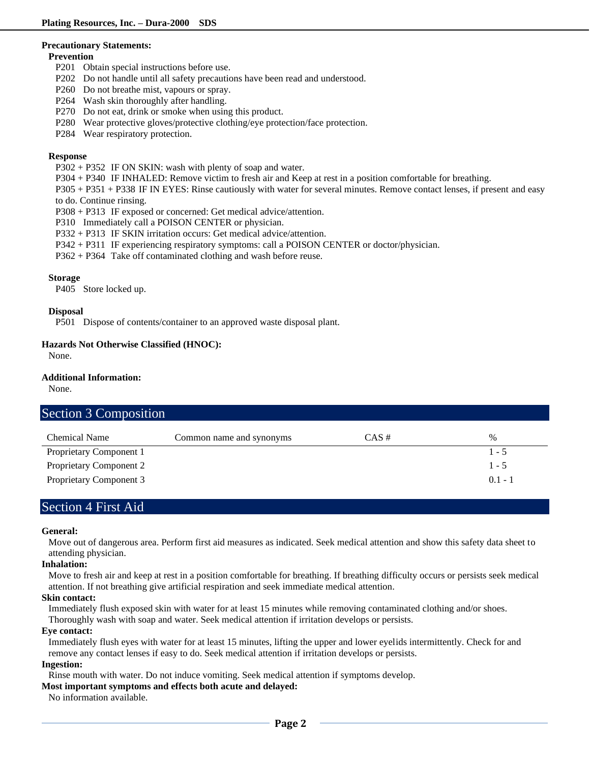#### **Precautionary Statements:**

#### **Prevention**

- P201 Obtain special instructions before use.
- P202 Do not handle until all safety precautions have been read and understood.
- P260 Do not breathe mist, vapours or spray.
- P264 Wash skin thoroughly after handling.
- P270 Do not eat, drink or smoke when using this product.
- P280 Wear protective gloves/protective clothing/eye protection/face protection.
- P284 Wear respiratory protection.

#### **Response**

- P302 + P352 IF ON SKIN: wash with plenty of soap and water.
- P304 + P340 IF INHALED: Remove victim to fresh air and Keep at rest in a position comfortable for breathing.
- P305 + P351 + P338 IF IN EYES: Rinse cautiously with water for several minutes. Remove contact lenses, if present and easy to do. Continue rinsing.
- P308 + P313 IF exposed or concerned: Get medical advice/attention.
- P310 Immediately call a POISON CENTER or physician.
- P332 + P313 IF SKIN irritation occurs: Get medical advice/attention.
- P342 + P311 IF experiencing respiratory symptoms: call a POISON CENTER or doctor/physician.
- P362 + P364 Take off contaminated clothing and wash before reuse.

#### **Storage**

P405 Store locked up.

#### **Disposal**

P501 Dispose of contents/container to an approved waste disposal plant.

#### **Hazards Not Otherwise Classified (HNOC):**

None.

#### **Additional Information:**

None.

|  | <b>Section 3 Composition</b> |
|--|------------------------------|
|--|------------------------------|

| <b>Chemical Name</b>           | Common name and synonyms | $CAS \#$ | $\%$      |
|--------------------------------|--------------------------|----------|-----------|
| Proprietary Component 1        |                          |          | $1 - 5$   |
| Proprietary Component 2        |                          |          | $1 - 5$   |
| <b>Proprietary Component 3</b> |                          |          | $0.1 - 1$ |

### Section 4 First Aid

#### **General:**

Move out of dangerous area. Perform first aid measures as indicated. Seek medical attention and show this safety data sheet to attending physician.

#### **Inhalation:**

Move to fresh air and keep at rest in a position comfortable for breathing. If breathing difficulty occurs or persists seek medical attention. If not breathing give artificial respiration and seek immediate medical attention.

#### **Skin contact:**

Immediately flush exposed skin with water for at least 15 minutes while removing contaminated clothing and/or shoes.

Thoroughly wash with soap and water. Seek medical attention if irritation develops or persists.

#### **Eye contact:**

Immediately flush eyes with water for at least 15 minutes, lifting the upper and lower eyelids intermittently. Check for and remove any contact lenses if easy to do. Seek medical attention if irritation develops or persists.

#### **Ingestion:**

Rinse mouth with water. Do not induce vomiting. Seek medical attention if symptoms develop.

#### **Most important symptoms and effects both acute and delayed:**

No information available.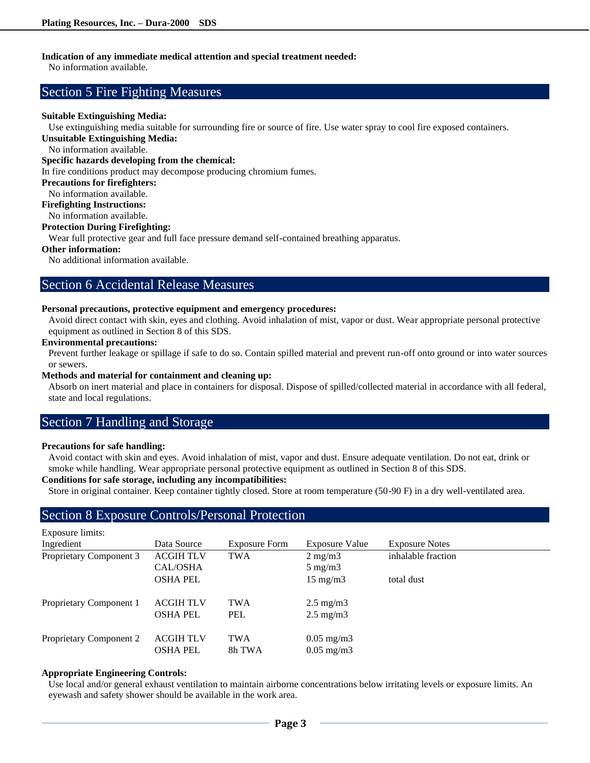#### **Indication of any immediate medical attention and special treatment needed:**

No information available.

### Section 5 Fire Fighting Measures

#### **Suitable Extinguishing Media:**

Use extinguishing media suitable for surrounding fire or source of fire. Use water spray to cool fire exposed containers.

**Unsuitable Extinguishing Media:**

No information available.

#### **Specific hazards developing from the chemical:**

In fire conditions product may decompose producing chromium fumes.

#### **Precautions for firefighters:**

No information available.

**Firefighting Instructions:**

No information available.

#### **Protection During Firefighting:**

Wear full protective gear and full face pressure demand self-contained breathing apparatus.

#### **Other information:**

No additional information available.

### Section 6 Accidental Release Measures

#### **Personal precautions, protective equipment and emergency procedures:**

Avoid direct contact with skin, eyes and clothing. Avoid inhalation of mist, vapor or dust. Wear appropriate personal protective equipment as outlined in Section 8 of this SDS.

#### **Environmental precautions:**

Prevent further leakage or spillage if safe to do so. Contain spilled material and prevent run-off onto ground or into water sources or sewers.

#### **Methods and material for containment and cleaning up:**

Absorb on inert material and place in containers for disposal. Dispose of spilled/collected material in accordance with all federal, state and local regulations.

### Section 7 Handling and Storage

#### **Precautions for safe handling:**

Avoid contact with skin and eyes. Avoid inhalation of mist, vapor and dust. Ensure adequate ventilation. Do not eat, drink or smoke while handling. Wear appropriate personal protective equipment as outlined in Section 8 of this SDS.

### **Conditions for safe storage, including any incompatibilities:**

Store in original container. Keep container tightly closed. Store at room temperature (50-90 F) in a dry well-ventilated area.

## Section 8 Exposure Controls/Personal Protection

| Exposure limits:        |                  |               |                       |                       |
|-------------------------|------------------|---------------|-----------------------|-----------------------|
| Ingredient              | Data Source      | Exposure Form | <b>Exposure Value</b> | <b>Exposure Notes</b> |
| Proprietary Component 3 | <b>ACGIH TLV</b> | <b>TWA</b>    | $2 \text{ mg/m}$      | inhalable fraction    |
|                         | CAL/OSHA         |               | $5 \text{ mg/m}$      |                       |
|                         | <b>OSHA PEL</b>  |               | $15 \text{ mg/m}$     | total dust            |
| Proprietary Component 1 | <b>ACGIH TLV</b> | <b>TWA</b>    | $2.5 \text{ mg/m}$    |                       |
|                         | <b>OSHA PEL</b>  | <b>PEL</b>    | $2.5 \text{ mg/m}$    |                       |
| Proprietary Component 2 | <b>ACGIH TLV</b> | <b>TWA</b>    | $0.05 \text{ mg/m}$ 3 |                       |
|                         | <b>OSHA PEL</b>  | 8h TWA        | $0.05 \text{ mg/m}$ 3 |                       |

#### **Appropriate Engineering Controls:**

Use local and/or general exhaust ventilation to maintain airborne concentrations below irritating levels or exposure limits. An eyewash and safety shower should be available in the work area.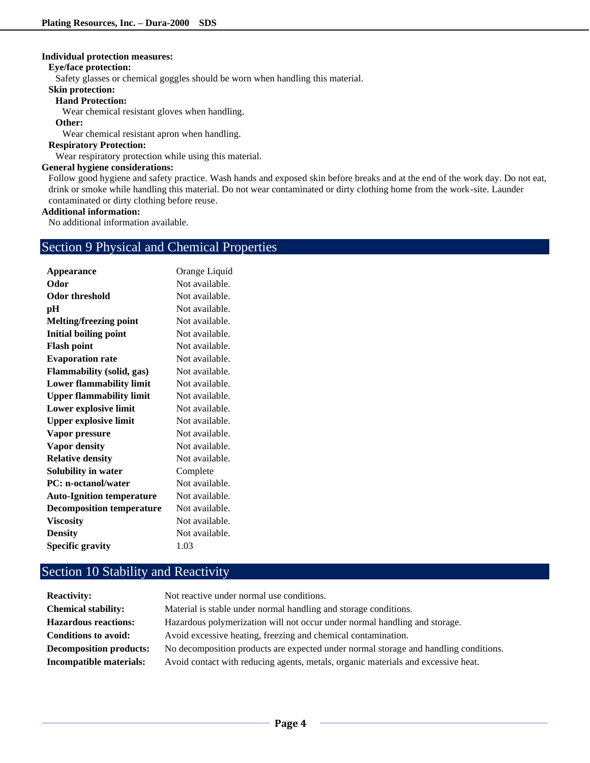#### **Individual protection measures:**

#### **Eye/face protection:**

Safety glasses or chemical goggles should be worn when handling this material.

#### **Skin protection:**

#### **Hand Protection:**

Wear chemical resistant gloves when handling.

#### **Other:**

Wear chemical resistant apron when handling.

#### **Respiratory Protection:**

Wear respiratory protection while using this material.

#### **General hygiene considerations:**

Follow good hygiene and safety practice. Wash hands and exposed skin before breaks and at the end of the work day. Do not eat, drink or smoke while handling this material. Do not wear contaminated or dirty clothing home from the work-site. Launder contaminated or dirty clothing before reuse.

#### **Additional information:**

No additional information available.

## Section 9 Physical and Chemical Properties

| Appearance                       | Orange Liquid  |
|----------------------------------|----------------|
| Odor                             | Not available. |
| Odor threshold                   | Not available. |
| рH                               | Not available. |
| Melting/freezing point           | Not available. |
| <b>Initial boiling point</b>     | Not available. |
| <b>Flash point</b>               | Not available. |
| <b>Evaporation rate</b>          | Not available. |
| <b>Flammability (solid, gas)</b> | Not available. |
| <b>Lower flammability limit</b>  | Not available. |
| <b>Upper flammability limit</b>  | Not available. |
| Lower explosive limit            | Not available. |
| <b>Upper explosive limit</b>     | Not available. |
| Vapor pressure                   | Not available. |
| <b>Vapor density</b>             | Not available. |
| <b>Relative density</b>          | Not available. |
| Solubility in water              | Complete       |
| <b>PC:</b> n-octanol/water       | Not available. |
| <b>Auto-Ignition temperature</b> | Not available. |
| <b>Decomposition temperature</b> | Not available. |
| <b>Viscosity</b>                 | Not available. |
| <b>Density</b>                   | Not available. |
| <b>Specific gravity</b>          | 1.03           |

# Section 10 Stability and Reactivity

| <b>Reactivity:</b>             | Not reactive under normal use conditions.                                            |
|--------------------------------|--------------------------------------------------------------------------------------|
| <b>Chemical stability:</b>     | Material is stable under normal handling and storage conditions.                     |
| <b>Hazardous reactions:</b>    | Hazardous polymerization will not occur under normal handling and storage.           |
| <b>Conditions to avoid:</b>    | Avoid excessive heating, freezing and chemical contamination.                        |
| <b>Decomposition products:</b> | No decomposition products are expected under normal storage and handling conditions. |
| Incompatible materials:        | Avoid contact with reducing agents, metals, organic materials and excessive heat.    |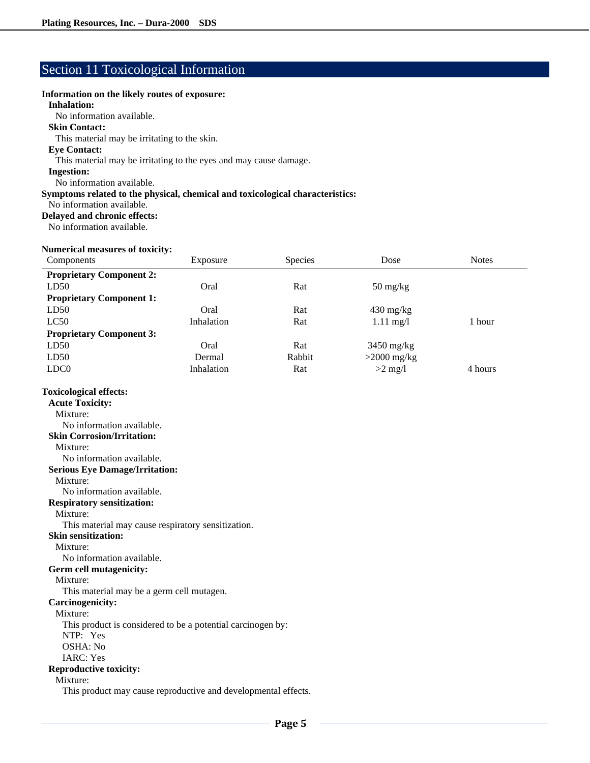## Section 11 Toxicological Information

#### **Information on the likely routes of exposure:**

#### **Inhalation:**

No information available.

#### **Skin Contact:**

This material may be irritating to the skin.

#### **Eye Contact:**

This material may be irritating to the eyes and may cause damage.

#### **Ingestion:**

No information available.

#### **Symptoms related to the physical, chemical and toxicological characteristics:**

No information available.

### **Delayed and chronic effects:**

No information available.

#### **Numerical measures of toxicity:**

| Components                                                                                                                                                                                                                                                                                                                                                                                                                                                                                                                         | Exposure   | Species | Dose                             | <b>Notes</b> |
|------------------------------------------------------------------------------------------------------------------------------------------------------------------------------------------------------------------------------------------------------------------------------------------------------------------------------------------------------------------------------------------------------------------------------------------------------------------------------------------------------------------------------------|------------|---------|----------------------------------|--------------|
| <b>Proprietary Component 2:</b>                                                                                                                                                                                                                                                                                                                                                                                                                                                                                                    |            |         |                                  |              |
| LD50                                                                                                                                                                                                                                                                                                                                                                                                                                                                                                                               | Oral       | Rat     | $50 \frac{\text{mg}}{\text{kg}}$ |              |
| <b>Proprietary Component 1:</b>                                                                                                                                                                                                                                                                                                                                                                                                                                                                                                    |            |         |                                  |              |
| LD50                                                                                                                                                                                                                                                                                                                                                                                                                                                                                                                               | Oral       | Rat     | $430$ mg/kg                      |              |
| LC50                                                                                                                                                                                                                                                                                                                                                                                                                                                                                                                               | Inhalation | Rat     | $1.11 \text{ mg}/1$              | 1 hour       |
| <b>Proprietary Component 3:</b>                                                                                                                                                                                                                                                                                                                                                                                                                                                                                                    |            |         |                                  |              |
| LD50                                                                                                                                                                                                                                                                                                                                                                                                                                                                                                                               | Oral       | Rat     | $3450$ mg/kg                     |              |
| LD50                                                                                                                                                                                                                                                                                                                                                                                                                                                                                                                               | Dermal     | Rabbit  | $>2000$ mg/kg                    |              |
| LDC <sub>0</sub>                                                                                                                                                                                                                                                                                                                                                                                                                                                                                                                   | Inhalation | Rat     | $>2$ mg/l                        | 4 hours      |
| <b>Toxicological effects:</b><br><b>Acute Toxicity:</b><br>Mixture:<br>No information available.<br><b>Skin Corrosion/Irritation:</b><br>Mixture:<br>No information available.<br><b>Serious Eye Damage/Irritation:</b><br>Mixture:<br>No information available.<br><b>Respiratory sensitization:</b><br>Mixture:<br>This material may cause respiratory sensitization.<br><b>Skin sensitization:</b><br>Mixture:<br>No information available.<br>Germ cell mutagenicity:<br>Mixture:<br>This material may be a germ cell mutagen. |            |         |                                  |              |
| <b>Carcinogenicity:</b>                                                                                                                                                                                                                                                                                                                                                                                                                                                                                                            |            |         |                                  |              |
| Mixture:                                                                                                                                                                                                                                                                                                                                                                                                                                                                                                                           |            |         |                                  |              |
| This product is considered to be a potential carcinogen by:                                                                                                                                                                                                                                                                                                                                                                                                                                                                        |            |         |                                  |              |
| NTP: Yes                                                                                                                                                                                                                                                                                                                                                                                                                                                                                                                           |            |         |                                  |              |
| OSHA: No                                                                                                                                                                                                                                                                                                                                                                                                                                                                                                                           |            |         |                                  |              |
| <b>IARC: Yes</b>                                                                                                                                                                                                                                                                                                                                                                                                                                                                                                                   |            |         |                                  |              |
| <b>Reproductive toxicity:</b><br>Mixture:                                                                                                                                                                                                                                                                                                                                                                                                                                                                                          |            |         |                                  |              |
| This product may cause reproductive and developmental effects.                                                                                                                                                                                                                                                                                                                                                                                                                                                                     |            |         |                                  |              |
|                                                                                                                                                                                                                                                                                                                                                                                                                                                                                                                                    |            |         |                                  |              |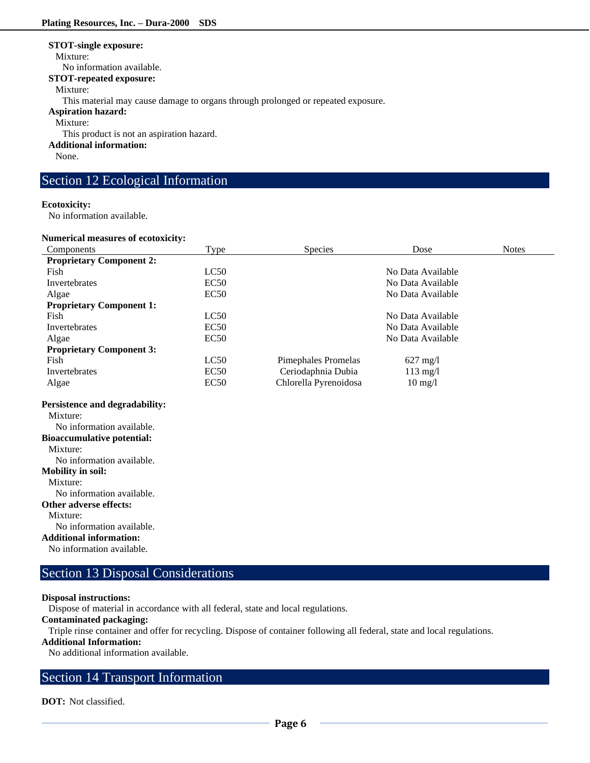#### **STOT-single exposure:**

Mixture:

No information available.

#### **STOT-repeated exposure:**

#### Mixture:

This material may cause damage to organs through prolonged or repeated exposure.

#### **Aspiration hazard:**

Mixture:

This product is not an aspiration hazard.

#### **Additional information:**

None.

### Section 12 Ecological Information

#### **Ecotoxicity:**

No information available.

#### **Numerical measures of ecotoxicity:**

| Numerical measures of ecotoxicity: |             |                       |                    |              |
|------------------------------------|-------------|-----------------------|--------------------|--------------|
| Components                         | Type        | <b>Species</b>        | Dose               | <b>Notes</b> |
| <b>Proprietary Component 2:</b>    |             |                       |                    |              |
| Fish                               | LC50        |                       | No Data Available  |              |
| Invertebrates                      | EC50        |                       | No Data Available  |              |
| Algae                              | <b>EC50</b> |                       | No Data Available  |              |
| <b>Proprietary Component 1:</b>    |             |                       |                    |              |
| Fish                               | LC50        |                       | No Data Available  |              |
| Invertebrates                      | <b>EC50</b> |                       | No Data Available  |              |
| Algae                              | EC50        |                       | No Data Available  |              |
| <b>Proprietary Component 3:</b>    |             |                       |                    |              |
| Fish                               | LC50        | Pimephales Promelas   | $627 \text{ mg}/1$ |              |
| Invertebrates                      | EC50        | Ceriodaphnia Dubia    | $113 \text{ mg/l}$ |              |
| Algae                              | EC50        | Chlorella Pyrenoidosa | $10 \text{ mg}/1$  |              |
|                                    |             |                       |                    |              |

### **Persistence and degradability:**

Mixture: No information available. **Bioaccumulative potential:** Mixture: No information available. **Mobility in soil:** Mixture: No information available. **Other adverse effects:** Mixture: No information available.

# **Additional information:**

No information available.

# Section 13 Disposal Considerations

#### **Disposal instructions:**

Dispose of material in accordance with all federal, state and local regulations.

**Contaminated packaging:**

Triple rinse container and offer for recycling. Dispose of container following all federal, state and local regulations.

#### **Additional Information:**

No additional information available.

# Section 14 Transport Information

**DOT:** Not classified.